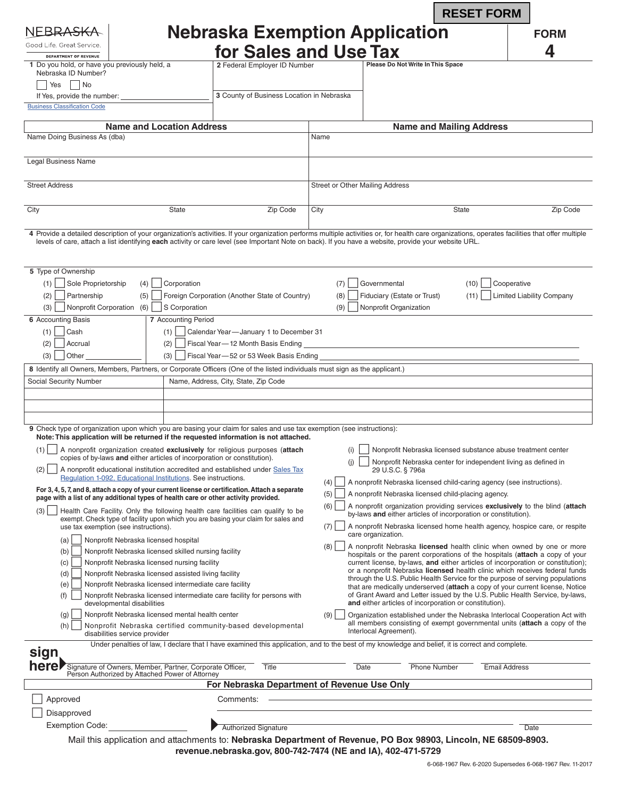|                                                                                                                                                                                                                |                                                                                                             |                                                              |                                                                                                                                                               | <b>RESET FORM</b>                                                                                                                                                                                                                                                                                                                                        |                                  |  |
|----------------------------------------------------------------------------------------------------------------------------------------------------------------------------------------------------------------|-------------------------------------------------------------------------------------------------------------|--------------------------------------------------------------|---------------------------------------------------------------------------------------------------------------------------------------------------------------|----------------------------------------------------------------------------------------------------------------------------------------------------------------------------------------------------------------------------------------------------------------------------------------------------------------------------------------------------------|----------------------------------|--|
|                                                                                                                                                                                                                |                                                                                                             | <b>Nebraska Exemption Application</b>                        |                                                                                                                                                               |                                                                                                                                                                                                                                                                                                                                                          | <b>FORM</b>                      |  |
| Good Life. Great Service.                                                                                                                                                                                      |                                                                                                             | for Sales and Use Tax                                        |                                                                                                                                                               |                                                                                                                                                                                                                                                                                                                                                          | 4                                |  |
| <b>DEPARTMENT OF REVENUE</b><br>1 Do you hold, or have you previously held, a                                                                                                                                  |                                                                                                             | 2 Federal Employer ID Number                                 |                                                                                                                                                               | Please Do Not Write In This Space                                                                                                                                                                                                                                                                                                                        |                                  |  |
| Nebraska ID Number?                                                                                                                                                                                            |                                                                                                             |                                                              |                                                                                                                                                               |                                                                                                                                                                                                                                                                                                                                                          |                                  |  |
| $ $ No<br>Yes                                                                                                                                                                                                  |                                                                                                             | 3 County of Business Location in Nebraska                    |                                                                                                                                                               |                                                                                                                                                                                                                                                                                                                                                          |                                  |  |
| If Yes, provide the number: ______<br><b>Business Classification Code</b>                                                                                                                                      |                                                                                                             |                                                              |                                                                                                                                                               |                                                                                                                                                                                                                                                                                                                                                          |                                  |  |
|                                                                                                                                                                                                                |                                                                                                             |                                                              |                                                                                                                                                               |                                                                                                                                                                                                                                                                                                                                                          |                                  |  |
|                                                                                                                                                                                                                | <b>Name and Location Address</b>                                                                            |                                                              |                                                                                                                                                               | <b>Name and Mailing Address</b>                                                                                                                                                                                                                                                                                                                          |                                  |  |
| Name Doing Business As (dba)                                                                                                                                                                                   |                                                                                                             |                                                              | Name                                                                                                                                                          |                                                                                                                                                                                                                                                                                                                                                          |                                  |  |
| <b>Legal Business Name</b>                                                                                                                                                                                     |                                                                                                             |                                                              |                                                                                                                                                               |                                                                                                                                                                                                                                                                                                                                                          |                                  |  |
| <b>Street Address</b>                                                                                                                                                                                          |                                                                                                             |                                                              | Street or Other Mailing Address                                                                                                                               |                                                                                                                                                                                                                                                                                                                                                          |                                  |  |
|                                                                                                                                                                                                                |                                                                                                             |                                                              |                                                                                                                                                               |                                                                                                                                                                                                                                                                                                                                                          |                                  |  |
| City                                                                                                                                                                                                           | <b>State</b>                                                                                                | Zip Code                                                     | City                                                                                                                                                          | State                                                                                                                                                                                                                                                                                                                                                    | Zip Code                         |  |
|                                                                                                                                                                                                                |                                                                                                             |                                                              |                                                                                                                                                               |                                                                                                                                                                                                                                                                                                                                                          |                                  |  |
|                                                                                                                                                                                                                |                                                                                                             |                                                              |                                                                                                                                                               | 4 Provide a detailed description of your organization's activities. If your organization performs multiple activities or, for health care organizations, operates facilities that offer multiple<br>levels of care, attach a list identifying each activity or care level (see Important Note on back). If you have a website, provide your website URL. |                                  |  |
|                                                                                                                                                                                                                |                                                                                                             |                                                              |                                                                                                                                                               |                                                                                                                                                                                                                                                                                                                                                          |                                  |  |
| 5 Type of Ownership                                                                                                                                                                                            |                                                                                                             |                                                              |                                                                                                                                                               |                                                                                                                                                                                                                                                                                                                                                          |                                  |  |
| $(1)$ Sole Proprietorship<br>Corporation<br>(4)<br>Foreign Corporation (Another State of Country)                                                                                                              |                                                                                                             |                                                              | Governmental<br>Cooperative<br>$(7)$  <br>(10)                                                                                                                |                                                                                                                                                                                                                                                                                                                                                          |                                  |  |
| Partnership<br>(2)<br>(3)   Nonprofit Corporation (6)   S Corporation                                                                                                                                          | (5)                                                                                                         |                                                              | $(8)$                                                                                                                                                         | Fiduciary (Estate or Trust)<br>(11)<br>$(9)$ Nonprofit Organization                                                                                                                                                                                                                                                                                      | <b>Limited Liability Company</b> |  |
| 6 Accounting Basis                                                                                                                                                                                             | 7 Accounting Period                                                                                         |                                                              |                                                                                                                                                               |                                                                                                                                                                                                                                                                                                                                                          |                                  |  |
| $(1)$ Cash                                                                                                                                                                                                     |                                                                                                             | $(1)$   Calendar Year-January 1 to December 31               |                                                                                                                                                               |                                                                                                                                                                                                                                                                                                                                                          |                                  |  |
| Accrual<br>(2)                                                                                                                                                                                                 | (2) Fiscal Year-12 Month Basis Ending                                                                       |                                                              |                                                                                                                                                               |                                                                                                                                                                                                                                                                                                                                                          |                                  |  |
| Other<br>(3)                                                                                                                                                                                                   |                                                                                                             | (3) Fiscal Year-52 or 53 Week Basis Ending                   |                                                                                                                                                               |                                                                                                                                                                                                                                                                                                                                                          |                                  |  |
| 8 Identify all Owners, Members, Partners, or Corporate Officers (One of the listed individuals must sign as the applicant.)                                                                                    |                                                                                                             |                                                              |                                                                                                                                                               |                                                                                                                                                                                                                                                                                                                                                          |                                  |  |
| Social Security Number                                                                                                                                                                                         |                                                                                                             | Name, Address, City, State, Zip Code                         |                                                                                                                                                               |                                                                                                                                                                                                                                                                                                                                                          |                                  |  |
|                                                                                                                                                                                                                |                                                                                                             |                                                              |                                                                                                                                                               |                                                                                                                                                                                                                                                                                                                                                          |                                  |  |
|                                                                                                                                                                                                                |                                                                                                             |                                                              |                                                                                                                                                               |                                                                                                                                                                                                                                                                                                                                                          |                                  |  |
|                                                                                                                                                                                                                |                                                                                                             |                                                              |                                                                                                                                                               |                                                                                                                                                                                                                                                                                                                                                          |                                  |  |
| 9 Check type of organization upon which you are basing your claim for sales and use tax exemption (see instructions):<br>Note: This application will be returned if the requested information is not attached. |                                                                                                             |                                                              |                                                                                                                                                               |                                                                                                                                                                                                                                                                                                                                                          |                                  |  |
| (1) A nonprofit organization created exclusively for religious purposes (attach                                                                                                                                |                                                                                                             |                                                              | Nonprofit Nebraska licensed substance abuse treatment center<br>(i)                                                                                           |                                                                                                                                                                                                                                                                                                                                                          |                                  |  |
| copies of by-laws and either articles of incorporation or constitution).                                                                                                                                       |                                                                                                             |                                                              | Nonprofit Nebraska center for independent living as defined in                                                                                                |                                                                                                                                                                                                                                                                                                                                                          |                                  |  |
| A nonprofit educational institution accredited and established under Sales Tax<br>(2)<br>Regulation 1-092, Educational Institutions. See instructions.                                                         |                                                                                                             |                                                              | 29 U.S.C. § 796a                                                                                                                                              |                                                                                                                                                                                                                                                                                                                                                          |                                  |  |
| For 3, 4, 5, 7, and 8, attach a copy of your current license or certification. Attach a separate                                                                                                               |                                                                                                             |                                                              | (4)<br>A nonprofit Nebraska licensed child-caring agency (see instructions).<br>A nonprofit Nebraska licensed child-placing agency.<br>(5)                    |                                                                                                                                                                                                                                                                                                                                                          |                                  |  |
| page with a list of any additional types of health care or other activity provided.                                                                                                                            |                                                                                                             |                                                              | A nonprofit organization providing services exclusively to the blind (attach<br>(6)                                                                           |                                                                                                                                                                                                                                                                                                                                                          |                                  |  |
| (3)<br>Health Care Facility. Only the following health care facilities can qualify to be<br>exempt. Check type of facility upon which you are basing your claim for sales and                                  |                                                                                                             |                                                              | by-laws and either articles of incorporation or constitution).                                                                                                |                                                                                                                                                                                                                                                                                                                                                          |                                  |  |
| use tax exemption (see instructions).                                                                                                                                                                          |                                                                                                             |                                                              | A nonprofit Nebraska licensed home health agency, hospice care, or respite<br>(7)<br>care organization.                                                       |                                                                                                                                                                                                                                                                                                                                                          |                                  |  |
| (a)                                                                                                                                                                                                            | Nonprofit Nebraska licensed hospital                                                                        |                                                              | (8)                                                                                                                                                           |                                                                                                                                                                                                                                                                                                                                                          |                                  |  |
| Nonprofit Nebraska licensed skilled nursing facility<br>(b)                                                                                                                                                    |                                                                                                             |                                                              | A nonprofit Nebraska licensed health clinic when owned by one or more<br>hospitals or the parent corporations of the hospitals ( <b>attach</b> a copy of your |                                                                                                                                                                                                                                                                                                                                                          |                                  |  |
| (c)<br>Nonprofit Nebraska licensed nursing facility                                                                                                                                                            |                                                                                                             |                                                              |                                                                                                                                                               | current license, by-laws, and either articles of incorporation or constitution);<br>or a nonprofit Nebraska licensed health clinic which receives federal funds                                                                                                                                                                                          |                                  |  |
| (d)<br>Nonprofit Nebraska licensed assisted living facility<br>Nonprofit Nebraska licensed intermediate care facility<br>(e)                                                                                   |                                                                                                             |                                                              |                                                                                                                                                               | through the U.S. Public Health Service for the purpose of serving populations                                                                                                                                                                                                                                                                            |                                  |  |
| Nonprofit Nebraska licensed intermediate care facility for persons with<br>(f)                                                                                                                                 |                                                                                                             |                                                              |                                                                                                                                                               | that are medically underserved (attach a copy of your current license, Notice<br>of Grant Award and Letter issued by the U.S. Public Health Service, by-laws,                                                                                                                                                                                            |                                  |  |
| developmental disabilities                                                                                                                                                                                     |                                                                                                             |                                                              |                                                                                                                                                               | and either articles of incorporation or constitution).                                                                                                                                                                                                                                                                                                   |                                  |  |
| Nonprofit Nebraska licensed mental health center<br>(g)<br>Nonprofit Nebraska certified community-based developmental<br>(h)<br>disabilities service provider                                                  |                                                                                                             |                                                              | (9)                                                                                                                                                           | Organization established under the Nebraska Interlocal Cooperation Act with<br>all members consisting of exempt governmental units (attach a copy of the<br>Interlocal Agreement).                                                                                                                                                                       |                                  |  |
|                                                                                                                                                                                                                |                                                                                                             |                                                              |                                                                                                                                                               | Under penalties of law, I declare that I have examined this application, and to the best of my knowledge and belief, it is correct and complete.                                                                                                                                                                                                         |                                  |  |
| sign                                                                                                                                                                                                           |                                                                                                             |                                                              |                                                                                                                                                               |                                                                                                                                                                                                                                                                                                                                                          |                                  |  |
| here <b>P</b>                                                                                                                                                                                                  | Signature of Owners, Member, Partner, Corporate Officer,<br>Person Authorized by Attached Power of Attorney | Title                                                        |                                                                                                                                                               | <b>Phone Number</b><br>Date                                                                                                                                                                                                                                                                                                                              | <b>Email Address</b>             |  |
|                                                                                                                                                                                                                |                                                                                                             | For Nebraska Department of Revenue Use Only                  |                                                                                                                                                               |                                                                                                                                                                                                                                                                                                                                                          |                                  |  |
| Approved                                                                                                                                                                                                       |                                                                                                             | Comments:                                                    |                                                                                                                                                               |                                                                                                                                                                                                                                                                                                                                                          |                                  |  |
| Disapproved                                                                                                                                                                                                    |                                                                                                             |                                                              |                                                                                                                                                               |                                                                                                                                                                                                                                                                                                                                                          |                                  |  |
| <b>Exemption Code:</b>                                                                                                                                                                                         |                                                                                                             | <b>Authorized Signature</b>                                  |                                                                                                                                                               |                                                                                                                                                                                                                                                                                                                                                          | Date                             |  |
|                                                                                                                                                                                                                |                                                                                                             | revenue.nebraska.gov, 800-742-7474 (NE and IA), 402-471-5729 |                                                                                                                                                               | Mail this application and attachments to: Nebraska Department of Revenue, PO Box 98903, Lincoln, NE 68509-8903.                                                                                                                                                                                                                                          |                                  |  |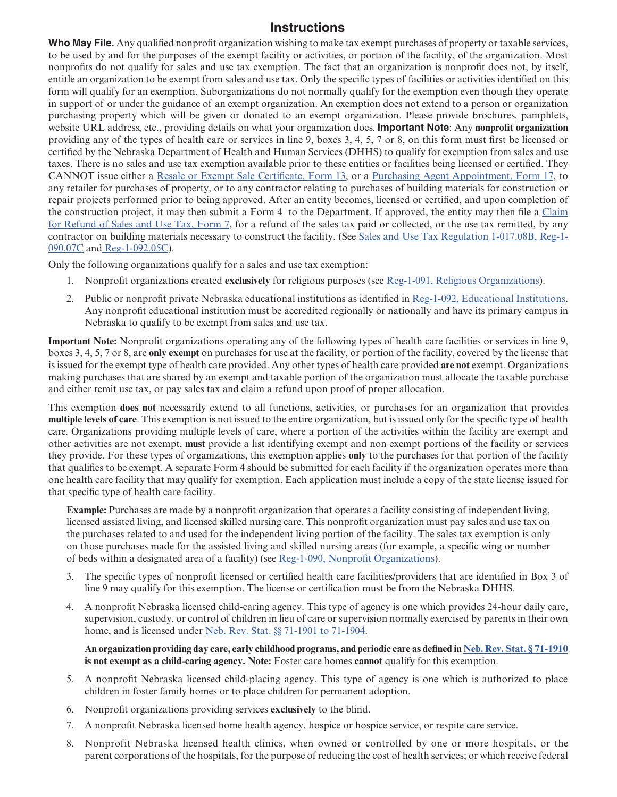## **Instructions**

**Who May File.** Any qualified nonprofit organization wishing to make tax exempt purchases of property or taxable services, to be used by and for the purposes of the exempt facility or activities, or portion of the facility, of the organization. Most nonprofits do not qualify for sales and use tax exemption. The fact that an organization is nonprofit does not, by itself, entitle an organization to be exempt from sales and use tax. Only the specific types of facilities or activities identified on this form will qualify for an exemption. Suborganizations do not normally qualify for the exemption even though they operate in support of or under the guidance of an exempt organization. An exemption does not extend to a person or organization purchasing property which will be given or donated to an exempt organization. Please provide brochures, pamphlets, website URL address, etc., providing details on what your organization does. **Important Note**: Any **nonprofit organization** providing any of the types of health care or services in line 9, boxes 3, 4, 5, 7 or 8, on this form must first be licensed or certified by the Nebraska Department of Health and Human Services (DHHS) to qualify for exemption from sales and use taxes. There is no sales and use tax exemption available prior to these entities or facilities being licensed or certified. They CANNOT issue either a [Resale or Exempt Sale Certificate, Form 13](https://revenue.nebraska.gov/files/doc/tax-forms/f_13.pdf), or a [Purchasing Agent Appointment, Form 17](https://revenue.nebraska.gov/files/doc/tax-forms/f_17.pdf), to any retailer for purchases of property, or to any contractor relating to purchases of building materials for construction or repair projects performed prior to being approved. After an entity becomes, licensed or certified, and upon completion of the construction project, it may then submit a Form 4 to the Department. If approved, the entity may then file a [Claim](https://revenue.nebraska.gov/files/doc/tax-forms/f_7.pdf) [for Refund of Sales and Use Tax, Form 7,](https://revenue.nebraska.gov/files/doc/tax-forms/f_7.pdf) for a refund of the sales tax paid or collected, or the use tax remitted, by any contractor on building materials necessary to construct the facility. (See [Sales and Use Tax Regulation 1-017.08B](https://revenue.nebraska.gov/files/doc/legal/regs/1-017.pdf), [Reg-1-](https://revenue.nebraska.gov/sites/revenue.nebraska.gov/files/doc/legal/regs/1-090.pdf) [090.07C](https://revenue.nebraska.gov/sites/revenue.nebraska.gov/files/doc/legal/regs/1-090.pdf) and Reg-[1-092.05C](https://revenue.nebraska.gov/sites/revenue.nebraska.gov/files/doc/legal/regs/1-092.pdf)).

Only the following organizations qualify for a sales and use tax exemption:

- 1. Nonprofit organizations created **exclusively** for religious purposes (see [Reg-1-091, Religious Organizations](https://revenue.nebraska.gov/files/doc/legal/regs/1-091.pdf)).
- 2. Public or nonprofit private Nebraska educational institutions as identified in [Reg-1-092, Educational Institutions](https://revenue.nebraska.gov/files/doc/legal/regs/1-092.pdf). Any nonprofit educational institution must be accredited regionally or nationally and have its primary campus in Nebraska to qualify to be exempt from sales and use tax.

**Important Note:** Nonprofit organizations operating any of the following types of health care facilities or services in line 9, boxes 3, 4, 5, 7 or 8, are **only exempt** on purchases for use at the facility, or portion of the facility, covered by the license that is issued for the exempt type of health care provided. Any other types of health care provided **are not** exempt. Organizations making purchases that are shared by an exempt and taxable portion of the organization must allocate the taxable purchase and either remit use tax, or pay sales tax and claim a refund upon proof of proper allocation.

This exemption **does not** necessarily extend to all functions, activities, or purchases for an organization that provides **multiple levels of care**. This exemption is not issued to the entire organization, but is issued only for the specific type of health care. Organizations providing multiple levels of care, where a portion of the activities within the facility are exempt and other activities are not exempt, **must** provide a list identifying exempt and non exempt portions of the facility or services they provide. For these types of organizations, this exemption applies **only** to the purchases for that portion of the facility that qualifies to be exempt. A separate Form 4 should be submitted for each facility if the organization operates more than one health care facility that may qualify for exemption. Each application must include a copy of the state license issued for that specific type of health care facility.

**Example:** Purchases are made by a nonprofit organization that operates a facility consisting of independent living, licensed assisted living, and licensed skilled nursing care. This nonprofit organization must pay sales and use tax on the purchases related to and used for the independent living portion of the facility. The sales tax exemption is only on those purchases made for the assisted living and skilled nursing areas (for example, a specific wing or number of beds within a designated area of a facility) (see Reg-1-090, [Nonprofit Organizations](https://revenue.nebraska.gov/files/doc/legal/regs/1-090.pdf)).

- 3. The specific types of nonprofit licensed or certified health care facilities/providers that are identified in Box 3 of line 9 may qualify for this exemption. The license or certification must be from the Nebraska DHHS.
- 4. A nonprofit Nebraska licensed child-caring agency. This type of agency is one which provides 24-hour daily care, supervision, custody, or control of children in lieu of care or supervision normally exercised by parents in their own home, and is licensed under [Neb. Rev. Stat. §§ 71-1901 to 71-1904](https://nebraskalegislature.gov/laws/search_range_statute.php?begin_section=71-1901&end_section=71-1904).

 **An organization providing day care, early childhood programs, and periodic care as defined in [Neb. Rev. Stat. § 71‑1910](https://www.nebraskalegislature.gov/laws/statutes.php?statute=71-1910) is not exempt as a child-caring agency. Note:** Foster care homes **cannot** qualify for this exemption.

- 5. A nonprofit Nebraska licensed child-placing agency. This type of agency is one which is authorized to place children in foster family homes or to place children for permanent adoption.
- 6. Nonprofit organizations providing services **exclusively** to the blind.
- 7. A nonprofit Nebraska licensed home health agency, hospice or hospice service, or respite care service.
- 8. Nonprofit Nebraska licensed health clinics, when owned or controlled by one or more hospitals, or the parent corporations of the hospitals, for the purpose of reducing the cost of health services; or which receive federal